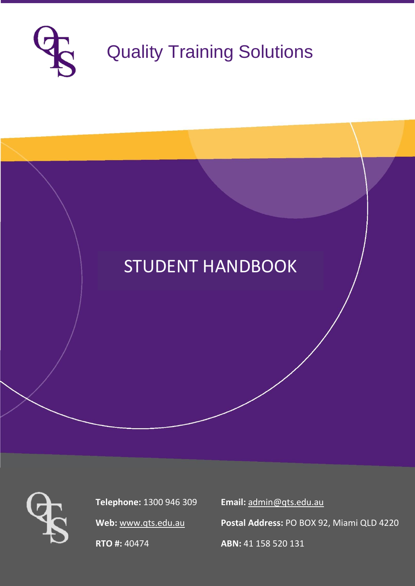

# STUDENT HANDBOOK



**Telephone:** 1300 946 309 **Email:** [admin@qts.edu.au](mailto:admin@qts.edu.au)

**Web:** [www.qts.edu.au](http://www.qts.edu.au/) **Postal Address:** PO BOX 92, Miami QLD 4220

**RTO #:** 40474 **ABN:** 41 158 520 131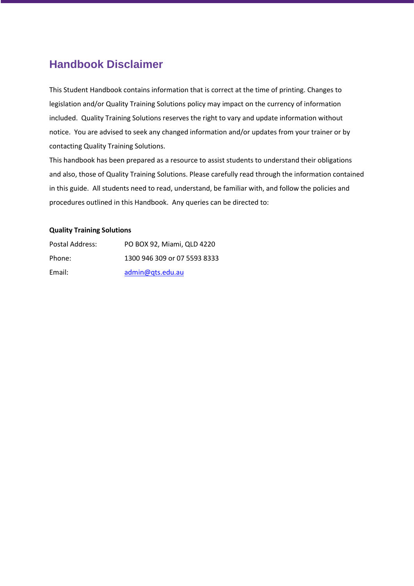# <span id="page-1-0"></span>**Handbook Disclaimer**

This Student Handbook contains information that is correct at the time of printing. Changes to legislation and/or Quality Training Solutions policy may impact on the currency of information included. Quality Training Solutions reserves the right to vary and update information without notice. You are advised to seek any changed information and/or updates from your trainer or by contacting Quality Training Solutions.

This handbook has been prepared as a resource to assist students to understand their obligations and also, those of Quality Training Solutions. Please carefully read through the information contained in this guide. All students need to read, understand, be familiar with, and follow the policies and procedures outlined in this Handbook. Any queries can be directed to:

#### **Quality Training Solutions**

| Postal Address: | PO BOX 92, Miami, QLD 4220   |
|-----------------|------------------------------|
| Phone:          | 1300 946 309 or 07 5593 8333 |
| Email:          | admin@qts.edu.au             |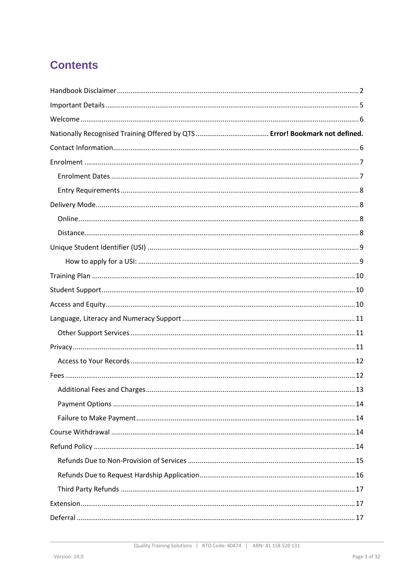# **Contents**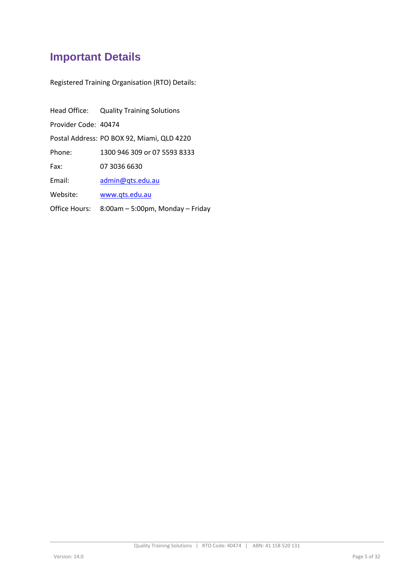# <span id="page-4-0"></span>**Important Details**

Registered Training Organisation (RTO) Details:

|                      | Head Office: Quality Training Solutions        |
|----------------------|------------------------------------------------|
| Provider Code: 40474 |                                                |
|                      | Postal Address: PO BOX 92, Miami, QLD 4220     |
| Phone:               | 1300 946 309 or 07 5593 8333                   |
| Fax:                 | 07 3036 6630                                   |
| Email:               | admin@qts.edu.au                               |
| Website:             | www.qts.edu.au                                 |
|                      | Office Hours: 8:00am - 5:00pm, Monday - Friday |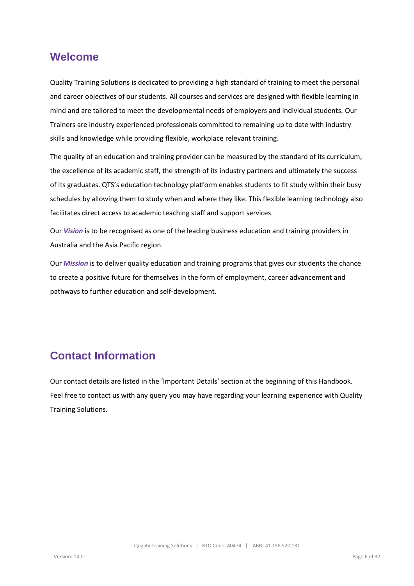### <span id="page-5-0"></span>**Welcome**

Quality Training Solutions is dedicated to providing a high standard of training to meet the personal and career objectives of our students. All courses and services are designed with flexible learning in mind and are tailored to meet the developmental needs of employers and individual students. Our Trainers are industry experienced professionals committed to remaining up to date with industry skills and knowledge while providing flexible, workplace relevant training.

The quality of an education and training provider can be measured by the standard of its curriculum, the excellence of its academic staff, the strength of its industry partners and ultimately the success of its graduates. QTS's education technology platform enables students to fit study within their busy schedules by allowing them to study when and where they like. This flexible learning technology also facilitates direct access to academic teaching staff and support services.

Our *Vision* is to be recognised as one of the leading business education and training providers in Australia and the Asia Pacific region.

Our *Mission* is to deliver quality education and training programs that gives our students the chance to create a positive future for themselves in the form of employment, career advancement and pathways to further education and self-development.

# <span id="page-5-1"></span>**Contact Information**

Our contact details are listed in the 'Important Details' section at the beginning of this Handbook. Feel free to contact us with any query you may have regarding your learning experience with Quality Training Solutions.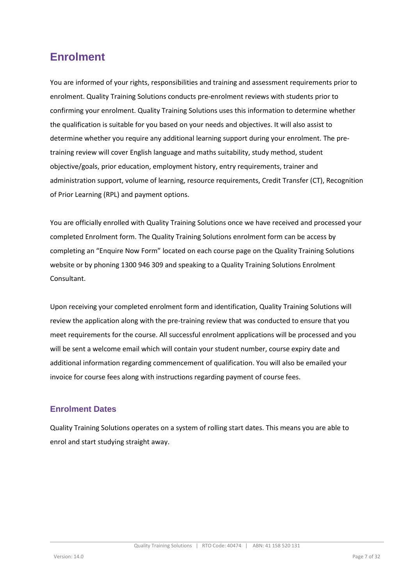# <span id="page-6-0"></span>**Enrolment**

You are informed of your rights, responsibilities and training and assessment requirements prior to enrolment. Quality Training Solutions conducts pre-enrolment reviews with students prior to confirming your enrolment. Quality Training Solutions uses this information to determine whether the qualification is suitable for you based on your needs and objectives. It will also assist to determine whether you require any additional learning support during your enrolment. The pretraining review will cover English language and maths suitability, study method, student objective/goals, prior education, employment history, entry requirements, trainer and administration support, volume of learning, resource requirements, Credit Transfer (CT), Recognition of Prior Learning (RPL) and payment options.

You are officially enrolled with Quality Training Solutions once we have received and processed your completed Enrolment form. The Quality Training Solutions enrolment form can be access by completing an "Enquire Now Form" located on each course page on the Quality Training Solutions website or by phoning 1300 946 309 and speaking to a Quality Training Solutions Enrolment Consultant.

Upon receiving your completed enrolment form and identification, Quality Training Solutions will review the application along with the pre-training review that was conducted to ensure that you meet requirements for the course. All successful enrolment applications will be processed and you will be sent a welcome email which will contain your student number, course expiry date and additional information regarding commencement of qualification. You will also be emailed your invoice for course fees along with instructions regarding payment of course fees.

### <span id="page-6-1"></span>**Enrolment Dates**

<span id="page-6-2"></span>Quality Training Solutions operates on a system of rolling start dates. This means you are able to enrol and start studying straight away.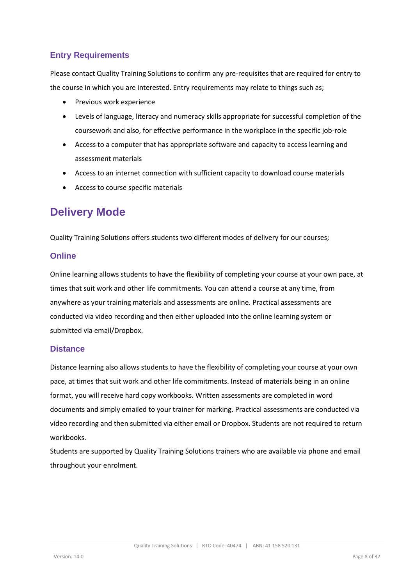### **Entry Requirements**

Please contact Quality Training Solutions to confirm any pre-requisites that are required for entry to the course in which you are interested. Entry requirements may relate to things such as;

- Previous work experience
- Levels of language, literacy and numeracy skills appropriate for successful completion of the coursework and also, for effective performance in the workplace in the specific job-role
- Access to a computer that has appropriate software and capacity to access learning and assessment materials
- Access to an internet connection with sufficient capacity to download course materials
- Access to course specific materials

# <span id="page-7-0"></span>**Delivery Mode**

Quality Training Solutions offers students two different modes of delivery for our courses;

#### <span id="page-7-1"></span>**Online**

Online learning allows students to have the flexibility of completing your course at your own pace, at times that suit work and other life commitments. You can attend a course at any time, from anywhere as your training materials and assessments are online. Practical assessments are conducted via video recording and then either uploaded into the online learning system or submitted via email/Dropbox.

#### <span id="page-7-2"></span>**Distance**

Distance learning also allows students to have the flexibility of completing your course at your own pace, at times that suit work and other life commitments. Instead of materials being in an online format, you will receive hard copy workbooks. Written assessments are completed in word documents and simply emailed to your trainer for marking. Practical assessments are conducted via video recording and then submitted via either email or Dropbox. Students are not required to return workbooks.

<span id="page-7-3"></span>Students are supported by Quality Training Solutions trainers who are available via phone and email throughout your enrolment.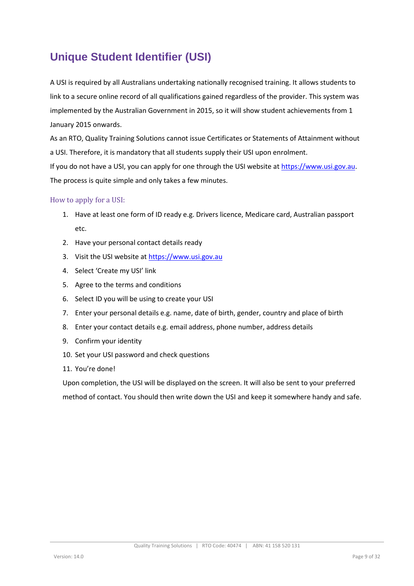# **Unique Student Identifier (USI)**

A USI is required by all Australians undertaking nationally recognised training. It allows students to link to a secure online record of all qualifications gained regardless of the provider. This system was implemented by the Australian Government in 2015, so it will show student achievements from 1 January 2015 onwards.

As an RTO, Quality Training Solutions cannot issue Certificates or Statements of Attainment without a USI. Therefore, it is mandatory that all students supply their USI upon enrolment.

If you do not have a USI, you can apply for one through the USI website a[t https://www.usi.gov.au.](https://www.usi.gov.au/) The process is quite simple and only takes a few minutes.

#### <span id="page-8-0"></span>How to apply for a USI:

- 1. Have at least one form of ID ready e.g. Drivers licence, Medicare card, Australian passport etc.
- 2. Have your personal contact details ready
- 3. Visit the USI website a[t https://www.usi.gov.au](https://www.usi.gov.au/)
- 4. Select 'Create my USI' link
- 5. Agree to the terms and conditions
- 6. Select ID you will be using to create your USI
- 7. Enter your personal details e.g. name, date of birth, gender, country and place of birth
- 8. Enter your contact details e.g. email address, phone number, address details
- 9. Confirm your identity
- 10. Set your USI password and check questions
- 11. You're done!

<span id="page-8-1"></span>Upon completion, the USI will be displayed on the screen. It will also be sent to your preferred method of contact. You should then write down the USI and keep it somewhere handy and safe.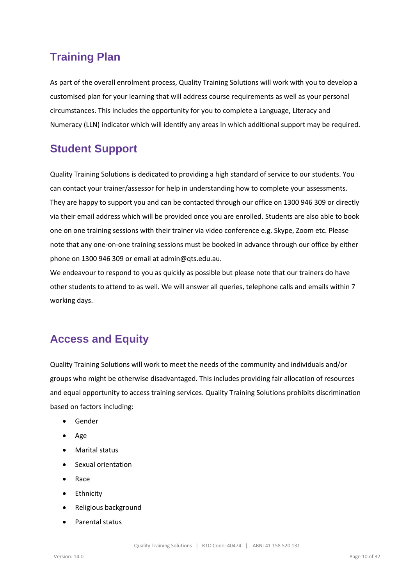# **Training Plan**

As part of the overall enrolment process, Quality Training Solutions will work with you to develop a customised plan for your learning that will address course requirements as well as your personal circumstances. This includes the opportunity for you to complete a Language, Literacy and Numeracy (LLN) indicator which will identify any areas in which additional support may be required.

# <span id="page-9-0"></span>**Student Support**

Quality Training Solutions is dedicated to providing a high standard of service to our students. You can contact your trainer/assessor for help in understanding how to complete your assessments. They are happy to support you and can be contacted through our office on 1300 946 309 or directly via their email address which will be provided once you are enrolled. Students are also able to book one on one training sessions with their trainer via video conference e.g. Skype, Zoom etc. Please note that any one-on-one training sessions must be booked in advance through our office by either phone on 1300 946 309 or email at admin@qts.edu.au.

We endeavour to respond to you as quickly as possible but please note that our trainers do have other students to attend to as well. We will answer all queries, telephone calls and emails within 7 working days.

# <span id="page-9-1"></span>**Access and Equity**

Quality Training Solutions will work to meet the needs of the community and individuals and/or groups who might be otherwise disadvantaged. This includes providing fair allocation of resources and equal opportunity to access training services. Quality Training Solutions prohibits discrimination based on factors including:

- Gender
- Age
- Marital status
- Sexual orientation
- Race
- Ethnicity
- Religious background
- Parental status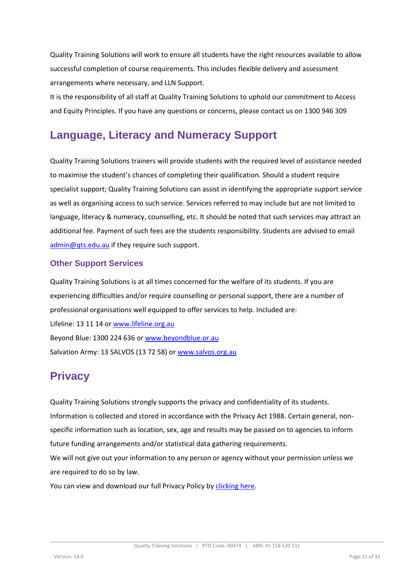Quality Training Solutions will work to ensure all students have the right resources available to allow successful completion of course requirements. This includes flexible delivery and assessment arrangements where necessary, and LLN Support.

It is the responsibility of all staff at Quality Training Solutions to uphold our commitment to Access and Equity Principles. If you have any questions or concerns, please contact us on 1300 946 309

# <span id="page-10-0"></span>**Language, Literacy and Numeracy Support**

Quality Training Solutions trainers will provide students with the required level of assistance needed to maximise the student's chances of completing their qualification. Should a student require specialist support; Quality Training Solutions can assist in identifying the appropriate support service as well as organising access to such service. Services referred to may include but are not limited to language, literacy & numeracy, counselling, etc. It should be noted that such services may attract an additional fee. Payment of such fees are the students responsibility. Students are advised to email [admin@qts.edu.au](mailto:admin@qts.edu.au) if they require such support.

#### <span id="page-10-1"></span>**Other Support Services**

Quality Training Solutions is at all times concerned for the welfare of its students. If you are experiencing difficulties and/or require counselling or personal support, there are a number of professional organisations well equipped to offer services to help. Included are: Lifeline: 13 11 14 o[r www.lifeline.org.au](http://www.lifeline.org.au/) Beyond Blue: 1300 224 636 or [www.beyondblue.or.au](http://www.beyondblue.or.au/) Salvation Army: 13 SALVOS (13 72 58) or [www.salvos.org.au](http://www.salvos.org.au/)

### <span id="page-10-2"></span>**Privacy**

Quality Training Solutions strongly supports the privacy and confidentiality of its students. Information is collected and stored in accordance with the Privacy Act 1988. Certain general, nonspecific information such as location, sex, age and results may be passed on to agencies to inform future funding arrangements and/or statistical data gathering requirements. We will not give out your information to any person or agency without your permission unless we are required to do so by law.

You can view and download our full Privacy Policy by [clicking here.](http://www.qts.edu.au/wp-content/uploads/2019/06/QTS-Privacy-Policy-V3.pdf)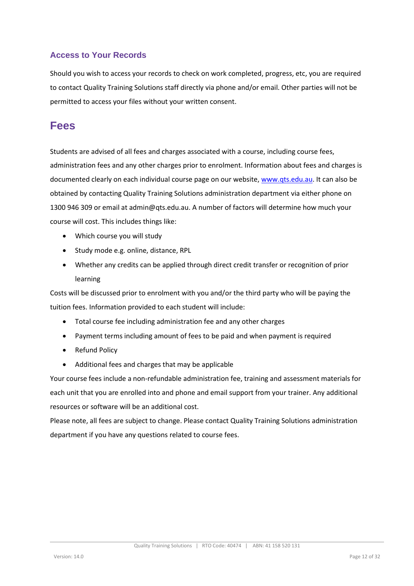### <span id="page-11-0"></span>**Access to Your Records**

Should you wish to access your records to check on work completed, progress, etc, you are required to contact Quality Training Solutions staff directly via phone and/or email. Other parties will not be permitted to access your files without your written consent.

### <span id="page-11-1"></span>**Fees**

Students are advised of all fees and charges associated with a course, including course fees, administration fees and any other charges prior to enrolment. Information about fees and charges is documented clearly on each individual course page on our website[, www.qts.edu.au.](http://www.qts.edu.au/) It can also be obtained by contacting Quality Training Solutions administration department via either phone on 1300 946 309 or email at admin@qts.edu.au. A number of factors will determine how much your course will cost. This includes things like:

- Which course you will study
- Study mode e.g. online, distance, RPL
- Whether any credits can be applied through direct credit transfer or recognition of prior learning

Costs will be discussed prior to enrolment with you and/or the third party who will be paying the tuition fees. Information provided to each student will include:

- Total course fee including administration fee and any other charges
- Payment terms including amount of fees to be paid and when payment is required
- Refund Policy
- Additional fees and charges that may be applicable

Your course fees include a non-refundable administration fee, training and assessment materials for each unit that you are enrolled into and phone and email support from your trainer. Any additional resources or software will be an additional cost.

Please note, all fees are subject to change. Please contact Quality Training Solutions administration department if you have any questions related to course fees.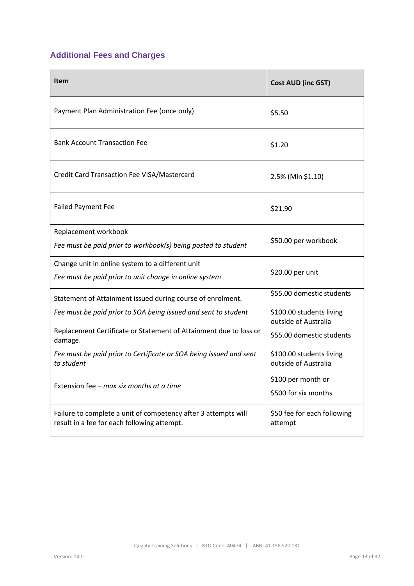# <span id="page-12-0"></span>**Additional Fees and Charges**

| Item                                                                                                          | <b>Cost AUD (inc GST)</b>                        |
|---------------------------------------------------------------------------------------------------------------|--------------------------------------------------|
| Payment Plan Administration Fee (once only)                                                                   | \$5.50                                           |
| <b>Bank Account Transaction Fee</b>                                                                           | \$1.20                                           |
| Credit Card Transaction Fee VISA/Mastercard                                                                   | 2.5% (Min \$1.10)                                |
| <b>Failed Payment Fee</b>                                                                                     | \$21.90                                          |
| Replacement workbook<br>Fee must be paid prior to workbook(s) being posted to student                         | \$50.00 per workbook                             |
| Change unit in online system to a different unit<br>Fee must be paid prior to unit change in online system    | \$20.00 per unit                                 |
| Statement of Attainment issued during course of enrolment.                                                    | \$55.00 domestic students                        |
| Fee must be paid prior to SOA being issued and sent to student                                                | \$100.00 students living<br>outside of Australia |
| Replacement Certificate or Statement of Attainment due to loss or<br>damage.                                  | \$55.00 domestic students                        |
| Fee must be paid prior to Certificate or SOA being issued and sent<br>to student                              | \$100.00 students living<br>outside of Australia |
| Extension fee - max six months at a time                                                                      | \$100 per month or<br>\$500 for six months       |
| Failure to complete a unit of competency after 3 attempts will<br>result in a fee for each following attempt. | \$50 fee for each following<br>attempt           |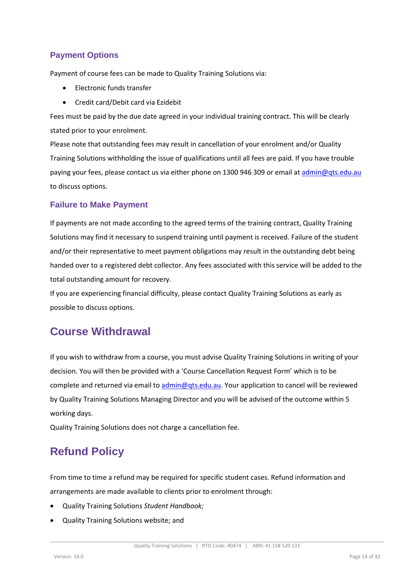### <span id="page-13-0"></span>**Payment Options**

Payment of course fees can be made to Quality Training Solutions via:

- Electronic funds transfer
- Credit card/Debit card via Ezidebit

Fees must be paid by the due date agreed in your individual training contract. This will be clearly stated prior to your enrolment.

Please note that outstanding fees may result in cancellation of your enrolment and/or Quality Training Solutions withholding the issue of qualifications until all fees are paid. If you have trouble paying your fees, please contact us via either phone on 1300 946 309 or email at [admin@qts.edu.au](mailto:admin@qts.edu.au) to discuss options.

#### <span id="page-13-1"></span>**Failure to Make Payment**

If payments are not made according to the agreed terms of the training contract, Quality Training Solutions may find it necessary to suspend training until payment is received. Failure of the student and/or their representative to meet payment obligations may result in the outstanding debt being handed over to a registered debt collector. Any fees associated with this service will be added to the total outstanding amount for recovery.

If you are experiencing financial difficulty, please contact Quality Training Solutions as early as possible to discuss options.

### <span id="page-13-2"></span>**Course Withdrawal**

If you wish to withdraw from a course, you must advise Quality Training Solutions in writing of your decision. You will then be provided with a 'Course Cancellation Request Form' which is to be complete and returned via email to [admin@qts.edu.au.](mailto:admin@qts.edu.au) Your application to cancel will be reviewed by Quality Training Solutions Managing Director and you will be advised of the outcome within 5 working days.

Quality Training Solutions does not charge a cancellation fee.

# <span id="page-13-3"></span>**Refund Policy**

From time to time a refund may be required for specific student cases. Refund information and arrangements are made available to clients prior to enrolment through:

- Quality Training Solutions *Student Handbook;*
- Quality Training Solutions website; and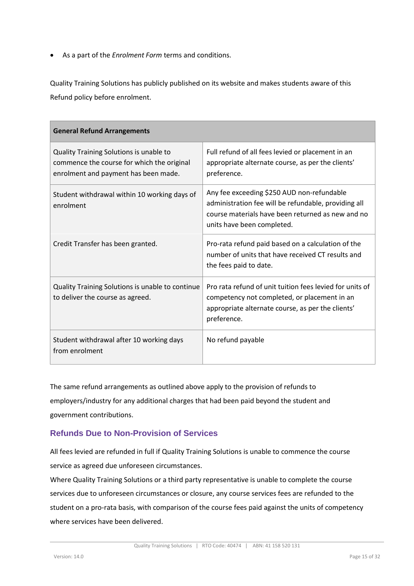• As a part of the *Enrolment Form* terms and conditions.

Quality Training Solutions has publicly published on its website and makes students aware of this Refund policy before enrolment.

| <b>General Refund Arrangements</b>                                                                                            |                                                                                                                                                                                       |
|-------------------------------------------------------------------------------------------------------------------------------|---------------------------------------------------------------------------------------------------------------------------------------------------------------------------------------|
| Quality Training Solutions is unable to<br>commence the course for which the original<br>enrolment and payment has been made. | Full refund of all fees levied or placement in an<br>appropriate alternate course, as per the clients'<br>preference.                                                                 |
| Student withdrawal within 10 working days of<br>enrolment                                                                     | Any fee exceeding \$250 AUD non-refundable<br>administration fee will be refundable, providing all<br>course materials have been returned as new and no<br>units have been completed. |
| Credit Transfer has been granted.                                                                                             | Pro-rata refund paid based on a calculation of the<br>number of units that have received CT results and<br>the fees paid to date.                                                     |
| Quality Training Solutions is unable to continue<br>to deliver the course as agreed.                                          | Pro rata refund of unit tuition fees levied for units of<br>competency not completed, or placement in an<br>appropriate alternate course, as per the clients'<br>preference.          |
| Student withdrawal after 10 working days<br>from enrolment                                                                    | No refund payable                                                                                                                                                                     |

The same refund arrangements as outlined above apply to the provision of refunds to employers/industry for any additional charges that had been paid beyond the student and government contributions.

### <span id="page-14-0"></span>**Refunds Due to Non-Provision of Services**

All fees levied are refunded in full if Quality Training Solutions is unable to commence the course service as agreed due unforeseen circumstances.

Where Quality Training Solutions or a third party representative is unable to complete the course services due to unforeseen circumstances or closure, any course services fees are refunded to the student on a pro-rata basis, with comparison of the course fees paid against the units of competency where services have been delivered.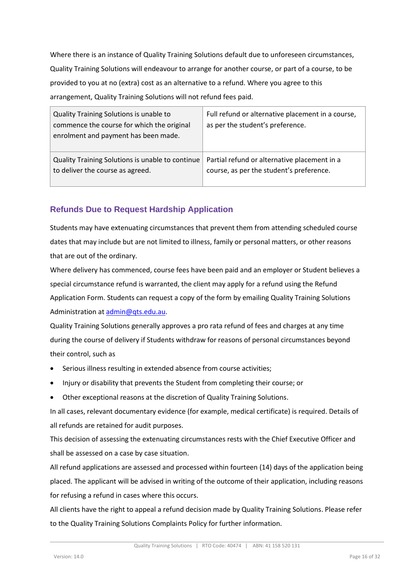Where there is an instance of Quality Training Solutions default due to unforeseen circumstances, Quality Training Solutions will endeavour to arrange for another course, or part of a course, to be provided to you at no (extra) cost as an alternative to a refund. Where you agree to this arrangement, Quality Training Solutions will not refund fees paid.

| Quality Training Solutions is unable to<br>commence the course for which the original<br>enrolment and payment has been made. | Full refund or alternative placement in a course,<br>as per the student's preference.    |
|-------------------------------------------------------------------------------------------------------------------------------|------------------------------------------------------------------------------------------|
| Quality Training Solutions is unable to continue<br>to deliver the course as agreed.                                          | Partial refund or alternative placement in a<br>course, as per the student's preference. |

### <span id="page-15-0"></span>**Refunds Due to Request Hardship Application**

Students may have extenuating circumstances that prevent them from attending scheduled course dates that may include but are not limited to illness, family or personal matters, or other reasons that are out of the ordinary.

Where delivery has commenced, course fees have been paid and an employer or Student believes a special circumstance refund is warranted, the client may apply for a refund using the Refund Application Form. Students can request a copy of the form by emailing Quality Training Solutions Administration a[t admin@qts.edu.au.](mailto:admin@qts.edu.au)

Quality Training Solutions generally approves a pro rata refund of fees and charges at any time during the course of delivery if Students withdraw for reasons of personal circumstances beyond their control, such as

- Serious illness resulting in extended absence from course activities;
- Injury or disability that prevents the Student from completing their course; or
- Other exceptional reasons at the discretion of Quality Training Solutions.

In all cases, relevant documentary evidence (for example, medical certificate) is required. Details of all refunds are retained for audit purposes.

This decision of assessing the extenuating circumstances rests with the Chief Executive Officer and shall be assessed on a case by case situation.

All refund applications are assessed and processed within fourteen (14) days of the application being placed. The applicant will be advised in writing of the outcome of their application, including reasons for refusing a refund in cases where this occurs.

All clients have the right to appeal a refund decision made by Quality Training Solutions. Please refer to the Quality Training Solutions Complaints Policy for further information.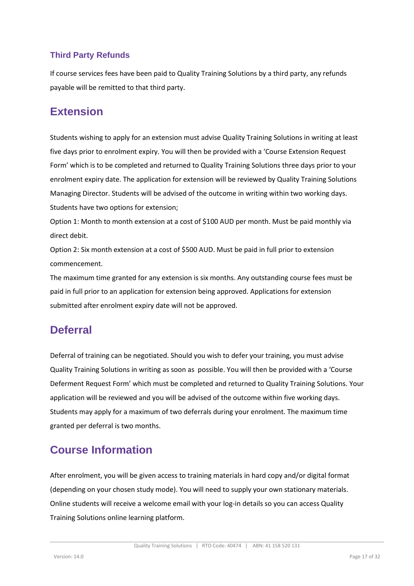### <span id="page-16-0"></span>**Third Party Refunds**

If course services fees have been paid to Quality Training Solutions by a third party, any refunds payable will be remitted to that third party.

# <span id="page-16-1"></span>**Extension**

Students wishing to apply for an extension must advise Quality Training Solutions in writing at least five days prior to enrolment expiry. You will then be provided with a 'Course Extension Request Form' which is to be completed and returned to Quality Training Solutions three days prior to your enrolment expiry date. The application for extension will be reviewed by Quality Training Solutions Managing Director. Students will be advised of the outcome in writing within two working days. Students have two options for extension;

Option 1: Month to month extension at a cost of \$100 AUD per month. Must be paid monthly via direct debit.

Option 2: Six month extension at a cost of \$500 AUD. Must be paid in full prior to extension commencement.

The maximum time granted for any extension is six months. Any outstanding course fees must be paid in full prior to an application for extension being approved. Applications for extension submitted after enrolment expiry date will not be approved.

# <span id="page-16-2"></span>**Deferral**

Deferral of training can be negotiated. Should you wish to defer your training, you must advise Quality Training Solutions in writing as soon as possible. You will then be provided with a 'Course Deferment Request Form' which must be completed and returned to Quality Training Solutions. Your application will be reviewed and you will be advised of the outcome within five working days. Students may apply for a maximum of two deferrals during your enrolment. The maximum time granted per deferral is two months.

# <span id="page-16-3"></span>**Course Information**

After enrolment, you will be given access to training materials in hard copy and/or digital format (depending on your chosen study mode). You will need to supply your own stationary materials. Online students will receive a welcome email with your log-in details so you can access Quality Training Solutions online learning platform.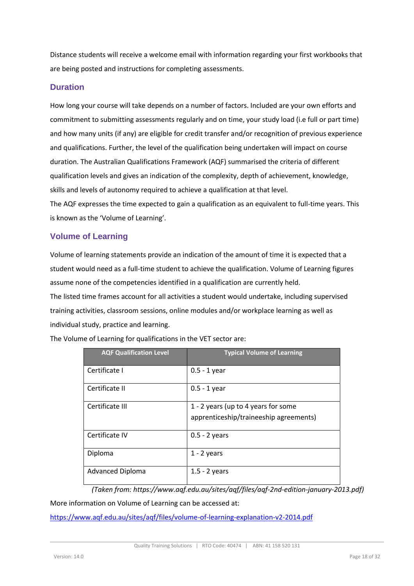Distance students will receive a welcome email with information regarding your first workbooks that are being posted and instructions for completing assessments.

#### <span id="page-17-0"></span>**Duration**

How long your course will take depends on a number of factors. Included are your own efforts and commitment to submitting assessments regularly and on time, your study load (i.e full or part time) and how many units (if any) are eligible for credit transfer and/or recognition of previous experience and qualifications. Further, the level of the qualification being undertaken will impact on course duration. The Australian Qualifications Framework (AQF) summarised the criteria of different qualification levels and gives an indication of the complexity, depth of achievement, knowledge, skills and levels of autonomy required to achieve a qualification at that level. The AQF expresses the time expected to gain a qualification as an equivalent to full-time years. This

is known as the 'Volume of Learning'.

#### <span id="page-17-1"></span>**Volume of Learning**

Volume of learning statements provide an indication of the amount of time it is expected that a student would need as a full-time student to achieve the qualification. Volume of Learning figures assume none of the competencies identified in a qualification are currently held. The listed time frames account for all activities a student would undertake, including supervised training activities, classroom sessions, online modules and/or workplace learning as well as

individual study, practice and learning.

| <b>AQF Qualification Level</b> | <b>Typical Volume of Learning</b>                                             |
|--------------------------------|-------------------------------------------------------------------------------|
| Certificate I                  | $0.5 - 1$ year                                                                |
| Certificate II                 | $0.5 - 1$ year                                                                |
| Certificate III                | 1 - 2 years (up to 4 years for some<br>apprenticeship/traineeship agreements) |
| Certificate IV                 | $0.5 - 2$ years                                                               |
| Diploma                        | $1 - 2$ years                                                                 |
| <b>Advanced Diploma</b>        | $1.5 - 2$ years                                                               |

The Volume of Learning for qualifications in the VET sector are:

*(Taken from: https://www.aqf.edu.au/sites/aqf/files/aqf-2nd-edition-january-2013.pdf)*

More information on Volume of Learning can be accessed at:

<https://www.aqf.edu.au/sites/aqf/files/volume-of-learning-explanation-v2-2014.pdf>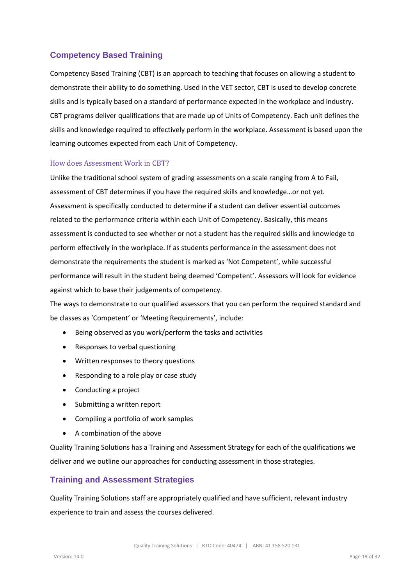### <span id="page-18-0"></span>**Competency Based Training**

Competency Based Training (CBT) is an approach to teaching that focuses on allowing a student to demonstrate their ability to do something. Used in the VET sector, CBT is used to develop concrete skills and is typically based on a standard of performance expected in the workplace and industry. CBT programs deliver qualifications that are made up of Units of Competency. Each unit defines the skills and knowledge required to effectively perform in the workplace. Assessment is based upon the learning outcomes expected from each Unit of Competency.

#### <span id="page-18-1"></span>How does Assessment Work in CBT?

Unlike the traditional school system of grading assessments on a scale ranging from A to Fail, assessment of CBT determines if you have the required skills and knowledge…or not yet. Assessment is specifically conducted to determine if a student can deliver essential outcomes related to the performance criteria within each Unit of Competency. Basically, this means assessment is conducted to see whether or not a student has the required skills and knowledge to perform effectively in the workplace. If as students performance in the assessment does not demonstrate the requirements the student is marked as 'Not Competent', while successful performance will result in the student being deemed 'Competent'. Assessors will look for evidence against which to base their judgements of competency.

The ways to demonstrate to our qualified assessors that you can perform the required standard and be classes as 'Competent' or 'Meeting Requirements', include:

- Being observed as you work/perform the tasks and activities
- Responses to verbal questioning
- Written responses to theory questions
- Responding to a role play or case study
- Conducting a project
- Submitting a written report
- Compiling a portfolio of work samples
- A combination of the above

Quality Training Solutions has a Training and Assessment Strategy for each of the qualifications we deliver and we outline our approaches for conducting assessment in those strategies.

#### <span id="page-18-2"></span>**Training and Assessment Strategies**

Quality Training Solutions staff are appropriately qualified and have sufficient, relevant industry experience to train and assess the courses delivered.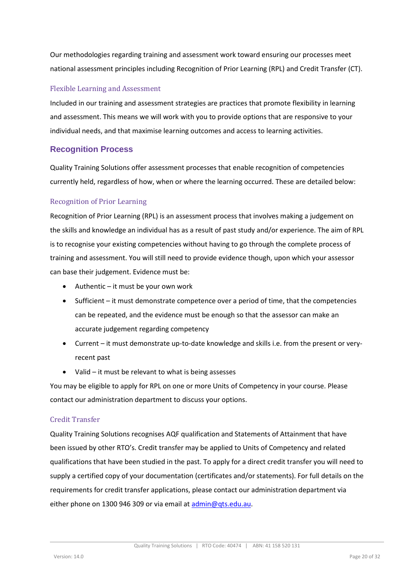Our methodologies regarding training and assessment work toward ensuring our processes meet national assessment principles including Recognition of Prior Learning (RPL) and Credit Transfer (CT).

#### <span id="page-19-0"></span>Flexible Learning and Assessment

Included in our training and assessment strategies are practices that promote flexibility in learning and assessment. This means we will work with you to provide options that are responsive to your individual needs, and that maximise learning outcomes and access to learning activities.

### <span id="page-19-1"></span>**Recognition Process**

Quality Training Solutions offer assessment processes that enable recognition of competencies currently held, regardless of how, when or where the learning occurred. These are detailed below:

#### <span id="page-19-2"></span>Recognition of Prior Learning

Recognition of Prior Learning (RPL) is an assessment process that involves making a judgement on the skills and knowledge an individual has as a result of past study and/or experience. The aim of RPL is to recognise your existing competencies without having to go through the complete process of training and assessment. You will still need to provide evidence though, upon which your assessor can base their judgement. Evidence must be:

- Authentic it must be your own work
- Sufficient it must demonstrate competence over a period of time, that the competencies can be repeated, and the evidence must be enough so that the assessor can make an accurate judgement regarding competency
- Current it must demonstrate up-to-date knowledge and skills i.e. from the present or veryrecent past
- Valid it must be relevant to what is being assesses

You may be eligible to apply for RPL on one or more Units of Competency in your course. Please contact our administration department to discuss your options.

#### <span id="page-19-3"></span>Credit Transfer

Quality Training Solutions recognises AQF qualification and Statements of Attainment that have been issued by other RTO's. Credit transfer may be applied to Units of Competency and related qualifications that have been studied in the past. To apply for a direct credit transfer you will need to supply a certified copy of your documentation (certificates and/or statements). For full details on the requirements for credit transfer applications, please contact our administration department via either phone on 1300 946 309 or via email a[t admin@qts.edu.au.](mailto:admin@qts.edu.au)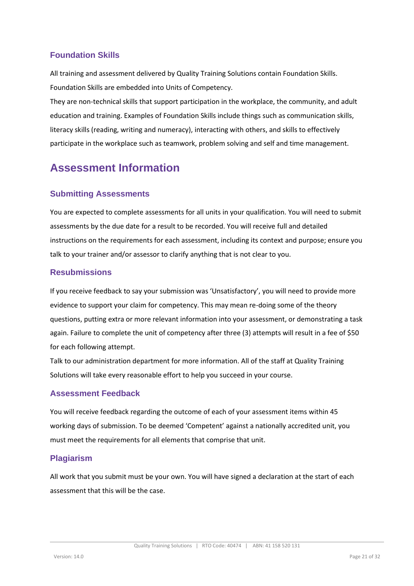### <span id="page-20-0"></span>**Foundation Skills**

All training and assessment delivered by Quality Training Solutions contain Foundation Skills. Foundation Skills are embedded into Units of Competency.

They are non-technical skills that support participation in the workplace, the community, and adult education and training. Examples of Foundation Skills include things such as communication skills, literacy skills (reading, writing and numeracy), interacting with others, and skills to effectively participate in the workplace such as teamwork, problem solving and self and time management.

# <span id="page-20-1"></span>**Assessment Information**

### <span id="page-20-2"></span>**Submitting Assessments**

You are expected to complete assessments for all units in your qualification. You will need to submit assessments by the due date for a result to be recorded. You will receive full and detailed instructions on the requirements for each assessment, including its context and purpose; ensure you talk to your trainer and/or assessor to clarify anything that is not clear to you.

### <span id="page-20-3"></span>**Resubmissions**

If you receive feedback to say your submission was 'Unsatisfactory', you will need to provide more evidence to support your claim for competency. This may mean re-doing some of the theory questions, putting extra or more relevant information into your assessment, or demonstrating a task again. Failure to complete the unit of competency after three (3) attempts will result in a fee of \$50 for each following attempt.

Talk to our administration department for more information. All of the staff at Quality Training Solutions will take every reasonable effort to help you succeed in your course.

### <span id="page-20-4"></span>**Assessment Feedback**

You will receive feedback regarding the outcome of each of your assessment items within 45 working days of submission. To be deemed 'Competent' against a nationally accredited unit, you must meet the requirements for all elements that comprise that unit.

### <span id="page-20-5"></span>**Plagiarism**

All work that you submit must be your own. You will have signed a declaration at the start of each assessment that this will be the case.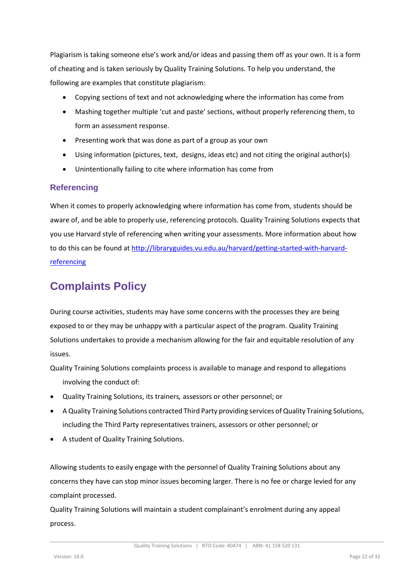Plagiarism is taking someone else's work and/or ideas and passing them off as your own. It is a form of cheating and is taken seriously by Quality Training Solutions. To help you understand, the following are examples that constitute plagiarism:

- Copying sections of text and not acknowledging where the information has come from
- Mashing together multiple 'cut and paste' sections, without properly referencing them, to form an assessment response.
- Presenting work that was done as part of a group as your own
- Using information (pictures, text, designs, ideas etc) and not citing the original author(s)
- Unintentionally failing to cite where information has come from

### <span id="page-21-0"></span>**Referencing**

When it comes to properly acknowledging where information has come from, students should be aware of, and be able to properly use, referencing protocols. Quality Training Solutions expects that you use Harvard style of referencing when writing your assessments. More information about how to do this can be found at [http://libraryguides.vu.edu.au/harvard/getting-started-with-harvard](http://libraryguides.vu.edu.au/harvard/getting-started-with-harvard-referencing)[referencing](http://libraryguides.vu.edu.au/harvard/getting-started-with-harvard-referencing)

# <span id="page-21-1"></span>**Complaints Policy**

During course activities, students may have some concerns with the processes they are being exposed to or they may be unhappy with a particular aspect of the program. Quality Training Solutions undertakes to provide a mechanism allowing for the fair and equitable resolution of any issues.

Quality Training Solutions complaints process is available to manage and respond to allegations involving the conduct of:

- Quality Training Solutions, its trainers*,* assessors or other personnel; or
- A Quality Training Solutions contracted Third Party providing services of Quality Training Solutions, including the Third Party representatives trainers, assessors or other personnel; or
- A student of Quality Training Solutions.

Allowing students to easily engage with the personnel of Quality Training Solutions about any concerns they have can stop minor issues becoming larger. There is no fee or charge levied for any complaint processed.

Quality Training Solutions will maintain a student complainant's enrolment during any appeal process.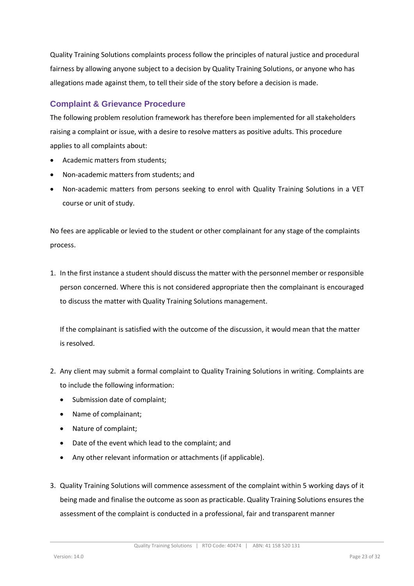Quality Training Solutions complaints process follow the principles of natural justice and procedural fairness by allowing anyone subject to a decision by Quality Training Solutions, or anyone who has allegations made against them, to tell their side of the story before a decision is made.

### <span id="page-22-0"></span>**Complaint & Grievance Procedure**

The following problem resolution framework has therefore been implemented for all stakeholders raising a complaint or issue, with a desire to resolve matters as positive adults. This procedure applies to all complaints about:

- Academic matters from students;
- Non-academic matters from students; and
- Non-academic matters from persons seeking to enrol with Quality Training Solutions in a VET course or unit of study.

No fees are applicable or levied to the student or other complainant for any stage of the complaints process.

1. In the first instance a student should discuss the matter with the personnel member or responsible person concerned. Where this is not considered appropriate then the complainant is encouraged to discuss the matter with Quality Training Solutions management.

If the complainant is satisfied with the outcome of the discussion, it would mean that the matter is resolved.

- 2. Any client may submit a formal complaint to Quality Training Solutions in writing. Complaints are to include the following information:
	- Submission date of complaint;
	- Name of complainant;
	- Nature of complaint;
	- Date of the event which lead to the complaint; and
	- Any other relevant information or attachments (if applicable).
- 3. Quality Training Solutions will commence assessment of the complaint within 5 working days of it being made and finalise the outcome as soon as practicable. Quality Training Solutions ensures the assessment of the complaint is conducted in a professional, fair and transparent manner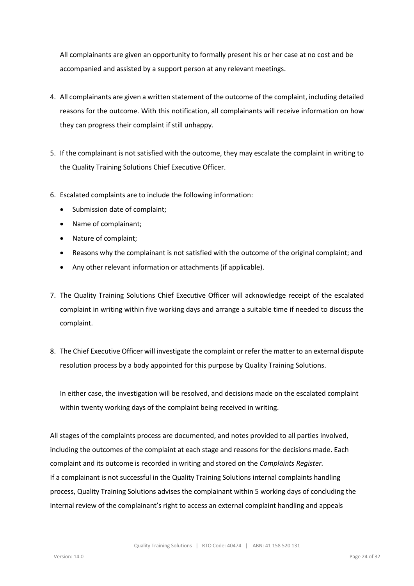All complainants are given an opportunity to formally present his or her case at no cost and be accompanied and assisted by a support person at any relevant meetings.

- 4. All complainants are given a written statement of the outcome of the complaint, including detailed reasons for the outcome. With this notification, all complainants will receive information on how they can progress their complaint if still unhappy.
- 5. If the complainant is not satisfied with the outcome, they may escalate the complaint in writing to the Quality Training Solutions Chief Executive Officer.
- 6. Escalated complaints are to include the following information:
	- Submission date of complaint;
	- Name of complainant;
	- Nature of complaint;
	- Reasons why the complainant is not satisfied with the outcome of the original complaint; and
	- Any other relevant information or attachments (if applicable).
- 7. The Quality Training Solutions Chief Executive Officer will acknowledge receipt of the escalated complaint in writing within five working days and arrange a suitable time if needed to discuss the complaint.
- 8. The Chief Executive Officer will investigate the complaint or refer the matter to an external dispute resolution process by a body appointed for this purpose by Quality Training Solutions.

In either case, the investigation will be resolved, and decisions made on the escalated complaint within twenty working days of the complaint being received in writing.

All stages of the complaints process are documented, and notes provided to all parties involved, including the outcomes of the complaint at each stage and reasons for the decisions made. Each complaint and its outcome is recorded in writing and stored on the *Complaints Register.* If a complainant is not successful in the Quality Training Solutions internal complaints handling process, Quality Training Solutions advises the complainant within 5 working days of concluding the internal review of the complainant's right to access an external complaint handling and appeals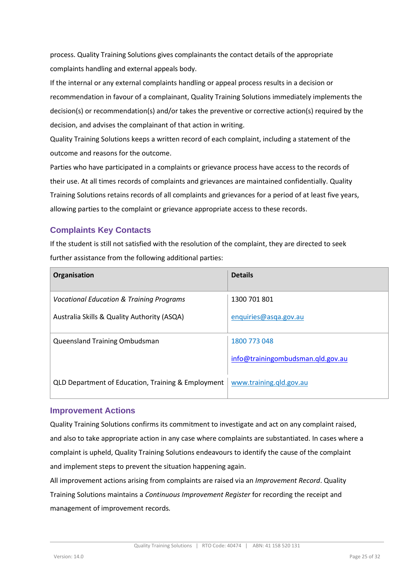process. Quality Training Solutions gives complainants the contact details of the appropriate complaints handling and external appeals body.

If the internal or any external complaints handling or appeal process results in a decision or recommendation in favour of a complainant, Quality Training Solutions immediately implements the decision(s) or recommendation(s) and/or takes the preventive or corrective action(s) required by the decision, and advises the complainant of that action in writing.

Quality Training Solutions keeps a written record of each complaint, including a statement of the outcome and reasons for the outcome.

Parties who have participated in a complaints or grievance process have access to the records of their use. At all times records of complaints and grievances are maintained confidentially. Quality Training Solutions retains records of all complaints and grievances for a period of at least five years, allowing parties to the complaint or grievance appropriate access to these records.

### <span id="page-24-0"></span>**Complaints Key Contacts**

If the student is still not satisfied with the resolution of the complaint, they are directed to seek further assistance from the following additional parties:

| Organisation                                        | <b>Details</b>                    |
|-----------------------------------------------------|-----------------------------------|
| <b>Vocational Education &amp; Training Programs</b> | 1300 701 801                      |
| Australia Skills & Quality Authority (ASQA)         | enquiries@asqa.gov.au             |
| Queensland Training Ombudsman                       | 1800 773 048                      |
|                                                     | info@trainingombudsman.qld.gov.au |
| QLD Department of Education, Training & Employment  | www.training.qld.gov.au           |

#### <span id="page-24-1"></span>**Improvement Actions**

Quality Training Solutions confirms its commitment to investigate and act on any complaint raised, and also to take appropriate action in any case where complaints are substantiated. In cases where a complaint is upheld, Quality Training Solutions endeavours to identify the cause of the complaint and implement steps to prevent the situation happening again.

All improvement actions arising from complaints are raised via an *Improvement Record*. Quality Training Solutions maintains a *Continuous Improvement Register* for recording the receipt and management of improvement records*.*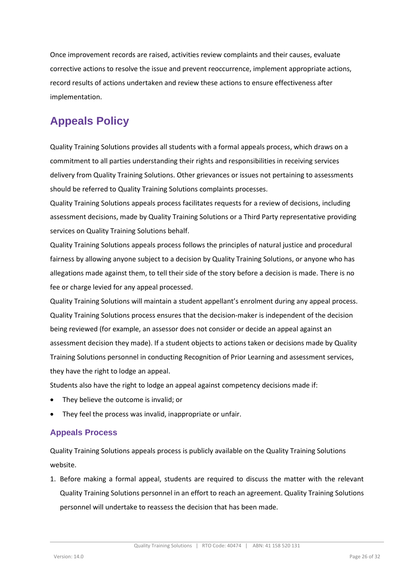Once improvement records are raised, activities review complaints and their causes, evaluate corrective actions to resolve the issue and prevent reoccurrence, implement appropriate actions, record results of actions undertaken and review these actions to ensure effectiveness after implementation.

# <span id="page-25-0"></span>**Appeals Policy**

Quality Training Solutions provides all students with a formal appeals process, which draws on a commitment to all parties understanding their rights and responsibilities in receiving services delivery from Quality Training Solutions. Other grievances or issues not pertaining to assessments should be referred to Quality Training Solutions complaints processes.

Quality Training Solutions appeals process facilitates requests for a review of decisions, including assessment decisions, made by Quality Training Solutions or a Third Party representative providing services on Quality Training Solutions behalf.

Quality Training Solutions appeals process follows the principles of natural justice and procedural fairness by allowing anyone subject to a decision by Quality Training Solutions, or anyone who has allegations made against them, to tell their side of the story before a decision is made. There is no fee or charge levied for any appeal processed.

Quality Training Solutions will maintain a student appellant's enrolment during any appeal process. Quality Training Solutions process ensures that the decision-maker is independent of the decision being reviewed (for example, an assessor does not consider or decide an appeal against an assessment decision they made). If a student objects to actions taken or decisions made by Quality Training Solutions personnel in conducting Recognition of Prior Learning and assessment services, they have the right to lodge an appeal.

Students also have the right to lodge an appeal against competency decisions made if:

- They believe the outcome is invalid; or
- They feel the process was invalid, inappropriate or unfair.

### <span id="page-25-1"></span>**Appeals Process**

Quality Training Solutions appeals process is publicly available on the Quality Training Solutions website.

1. Before making a formal appeal, students are required to discuss the matter with the relevant Quality Training Solutions personnel in an effort to reach an agreement. Quality Training Solutions personnel will undertake to reassess the decision that has been made.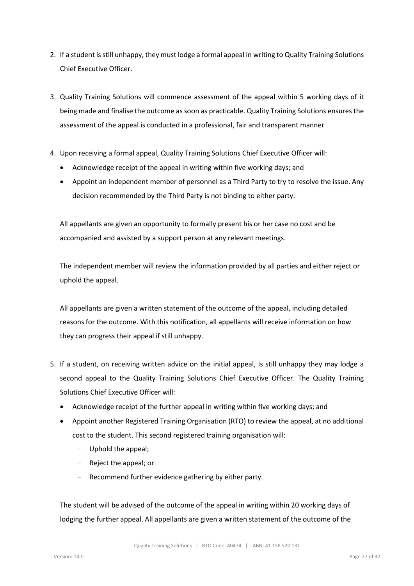- 2. If a student is still unhappy, they must lodge a formal appeal in writing to Quality Training Solutions Chief Executive Officer.
- 3. Quality Training Solutions will commence assessment of the appeal within 5 working days of it being made and finalise the outcome as soon as practicable. Quality Training Solutions ensures the assessment of the appeal is conducted in a professional, fair and transparent manner
- 4. Upon receiving a formal appeal, Quality Training Solutions Chief Executive Officer will:
	- Acknowledge receipt of the appeal in writing within five working days; and
	- Appoint an independent member of personnel as a Third Party to try to resolve the issue. Any decision recommended by the Third Party is not binding to either party.

All appellants are given an opportunity to formally present his or her case no cost and be accompanied and assisted by a support person at any relevant meetings.

The independent member will review the information provided by all parties and either reject or uphold the appeal.

All appellants are given a written statement of the outcome of the appeal, including detailed reasons for the outcome. With this notification, all appellants will receive information on how they can progress their appeal if still unhappy.

- 5. If a student, on receiving written advice on the initial appeal, is still unhappy they may lodge a second appeal to the Quality Training Solutions Chief Executive Officer. The Quality Training Solutions Chief Executive Officer will:
	- Acknowledge receipt of the further appeal in writing within five working days; and
	- Appoint another Registered Training Organisation (RTO) to review the appeal, at no additional cost to the student. This second registered training organisation will:
		- Uphold the appeal;
		- Reject the appeal; or
		- Recommend further evidence gathering by either party.

The student will be advised of the outcome of the appeal in writing within 20 working days of lodging the further appeal. All appellants are given a written statement of the outcome of the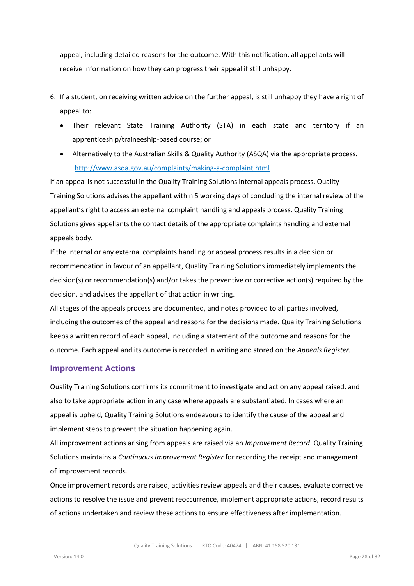appeal, including detailed reasons for the outcome. With this notification, all appellants will receive information on how they can progress their appeal if still unhappy.

- 6. If a student, on receiving written advice on the further appeal, is still unhappy they have a right of appeal to:
	- Their relevant State Training Authority (STA) in each state and territory if an apprenticeship/traineeship-based course; or
	- Alternatively to the Australian Skills & Quality Authority (ASQA) via the appropriate process. <http://www.asqa.gov.au/complaints/making-a-complaint.html>

If an appeal is not successful in the Quality Training Solutions internal appeals process, Quality Training Solutions advises the appellant within 5 working days of concluding the internal review of the appellant's right to access an external complaint handling and appeals process. Quality Training Solutions gives appellants the contact details of the appropriate complaints handling and external appeals body.

If the internal or any external complaints handling or appeal process results in a decision or recommendation in favour of an appellant, Quality Training Solutions immediately implements the decision(s) or recommendation(s) and/or takes the preventive or corrective action(s) required by the decision, and advises the appellant of that action in writing.

All stages of the appeals process are documented, and notes provided to all parties involved, including the outcomes of the appeal and reasons for the decisions made. Quality Training Solutions keeps a written record of each appeal, including a statement of the outcome and reasons for the outcome. Each appeal and its outcome is recorded in writing and stored on the *Appeals Register.*

#### <span id="page-27-0"></span>**Improvement Actions**

Quality Training Solutions confirms its commitment to investigate and act on any appeal raised, and also to take appropriate action in any case where appeals are substantiated. In cases where an appeal is upheld, Quality Training Solutions endeavours to identify the cause of the appeal and implement steps to prevent the situation happening again.

All improvement actions arising from appeals are raised via an *Improvement Record*. Quality Training Solutions maintains a *Continuous Improvement Register* for recording the receipt and management of improvement records*.*

Once improvement records are raised, activities review appeals and their causes, evaluate corrective actions to resolve the issue and prevent reoccurrence, implement appropriate actions, record results of actions undertaken and review these actions to ensure effectiveness after implementation.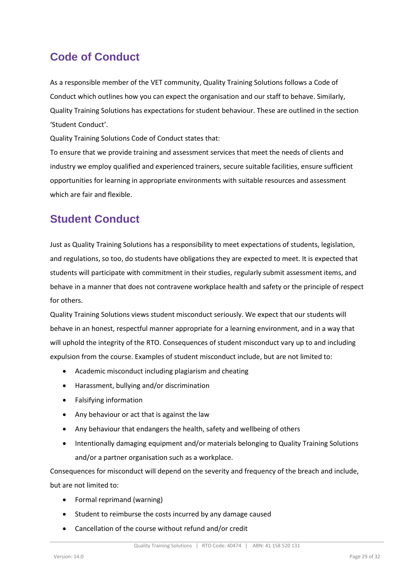# <span id="page-28-0"></span>**Code of Conduct**

As a responsible member of the VET community, Quality Training Solutions follows a Code of Conduct which outlines how you can expect the organisation and our staff to behave. Similarly, Quality Training Solutions has expectations for student behaviour. These are outlined in the section 'Student Conduct'.

Quality Training Solutions Code of Conduct states that:

To ensure that we provide training and assessment services that meet the needs of clients and industry we employ qualified and experienced trainers, secure suitable facilities, ensure sufficient opportunities for learning in appropriate environments with suitable resources and assessment which are fair and flexible.

# <span id="page-28-1"></span>**Student Conduct**

Just as Quality Training Solutions has a responsibility to meet expectations of students, legislation, and regulations, so too, do students have obligations they are expected to meet. It is expected that students will participate with commitment in their studies, regularly submit assessment items, and behave in a manner that does not contravene workplace health and safety or the principle of respect for others.

Quality Training Solutions views student misconduct seriously. We expect that our students will behave in an honest, respectful manner appropriate for a learning environment, and in a way that will uphold the integrity of the RTO. Consequences of student misconduct vary up to and including expulsion from the course. Examples of student misconduct include, but are not limited to:

- Academic misconduct including plagiarism and cheating
- Harassment, bullying and/or discrimination
- Falsifying information
- Any behaviour or act that is against the law
- Any behaviour that endangers the health, safety and wellbeing of others
- Intentionally damaging equipment and/or materials belonging to Quality Training Solutions and/or a partner organisation such as a workplace.

Consequences for misconduct will depend on the severity and frequency of the breach and include, but are not limited to:

- Formal reprimand (warning)
- Student to reimburse the costs incurred by any damage caused
- Cancellation of the course without refund and/or credit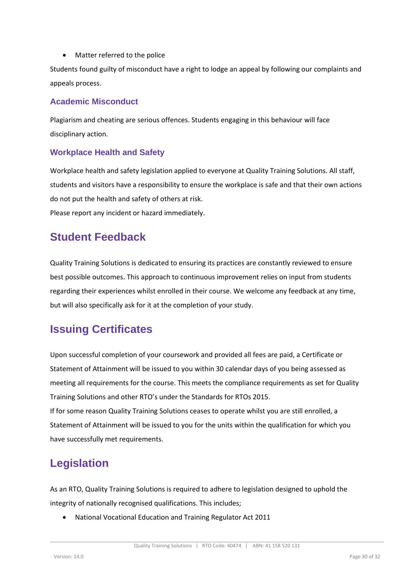• Matter referred to the police

Students found guilty of misconduct have a right to lodge an appeal by following our complaints and appeals process.

### <span id="page-29-0"></span>**Academic Misconduct**

Plagiarism and cheating are serious offences. Students engaging in this behaviour will face disciplinary action.

### <span id="page-29-1"></span>**Workplace Health and Safety**

Workplace health and safety legislation applied to everyone at Quality Training Solutions. All staff, students and visitors have a responsibility to ensure the workplace is safe and that their own actions do not put the health and safety of others at risk.

Please report any incident or hazard immediately.

### <span id="page-29-2"></span>**Student Feedback**

Quality Training Solutions is dedicated to ensuring its practices are constantly reviewed to ensure best possible outcomes. This approach to continuous improvement relies on input from students regarding their experiences whilst enrolled in their course. We welcome any feedback at any time, but will also specifically ask for it at the completion of your study.

# <span id="page-29-3"></span>**Issuing Certificates**

Upon successful completion of your coursework and provided all fees are paid, a Certificate or Statement of Attainment will be issued to you within 30 calendar days of you being assessed as meeting all requirements for the course. This meets the compliance requirements as set for Quality Training Solutions and other RTO's under the Standards for RTOs 2015.

If for some reason Quality Training Solutions ceases to operate whilst you are still enrolled, a Statement of Attainment will be issued to you for the units within the qualification for which you have successfully met requirements.

# <span id="page-29-4"></span>**Legislation**

As an RTO, Quality Training Solutions is required to adhere to legislation designed to uphold the integrity of nationally recognised qualifications. This includes;

• National Vocational Education and Training Regulator Act 2011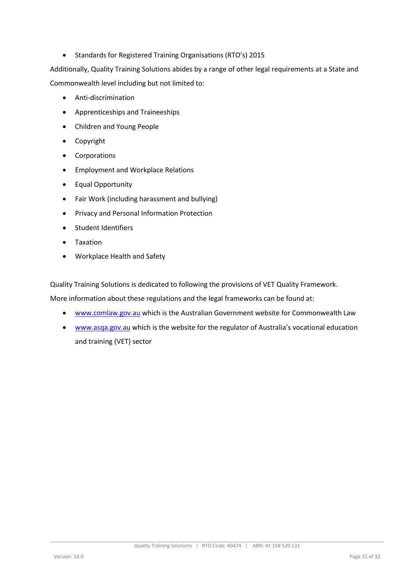• Standards for Registered Training Organisations (RTO's) 2015

Additionally, Quality Training Solutions abides by a range of other legal requirements at a State and Commonwealth level including but not limited to:

- Anti-discrimination
- Apprenticeships and Traineeships
- Children and Young People
- Copyright
- Corporations
- Employment and Workplace Relations
- Equal Opportunity
- Fair Work (including harassment and bullying)
- Privacy and Personal Information Protection
- Student Identifiers
- **Taxation**
- Workplace Health and Safety

Quality Training Solutions is dedicated to following the provisions of VET Quality Framework.

More information about these regulations and the legal frameworks can be found at:

- [www.comlaw.gov.au](http://www.comlaw.gov.au/) which is the Australian Government website for Commonwealth Law
- [www.asqa.gov.au](http://www.asqa.gov.au/) which is the website for the regulator of Australia's vocational education and training (VET) sector